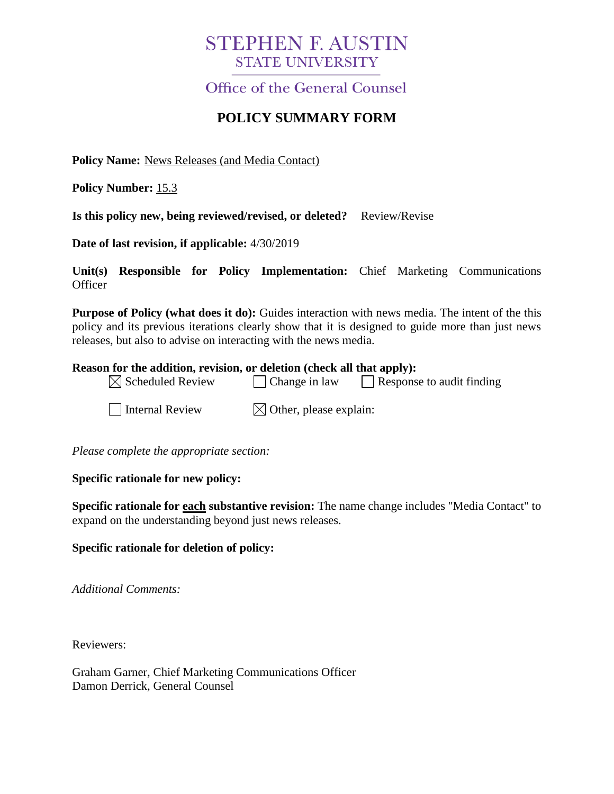# **STEPHEN F. AUSTIN STATE UNIVERSITY**

# Office of the General Counsel

# **POLICY SUMMARY FORM**

**Policy Name:** News Releases (and Media Contact)

**Policy Number:** 15.3

**Is this policy new, being reviewed/revised, or deleted?** Review/Revise

**Date of last revision, if applicable:** 4/30/2019

**Unit(s) Responsible for Policy Implementation:** Chief Marketing Communications **Officer** 

**Purpose of Policy (what does it do):** Guides interaction with news media. The intent of the this policy and its previous iterations clearly show that it is designed to guide more than just news releases, but also to advise on interacting with the news media.

#### **Reason for the addition, revision, or deletion (check all that apply):**

| $\boxtimes$ Scheduled Review | $\Box$ Change in law | $\Box$ Response to audit finding |  |
|------------------------------|----------------------|----------------------------------|--|
|------------------------------|----------------------|----------------------------------|--|

 $\Box$  Internal Review  $\boxtimes$  Other, please explain:

*Please complete the appropriate section:*

#### **Specific rationale for new policy:**

**Specific rationale for each substantive revision:** The name change includes "Media Contact" to expand on the understanding beyond just news releases.

#### **Specific rationale for deletion of policy:**

*Additional Comments:*

Reviewers:

Graham Garner, Chief Marketing Communications Officer Damon Derrick, General Counsel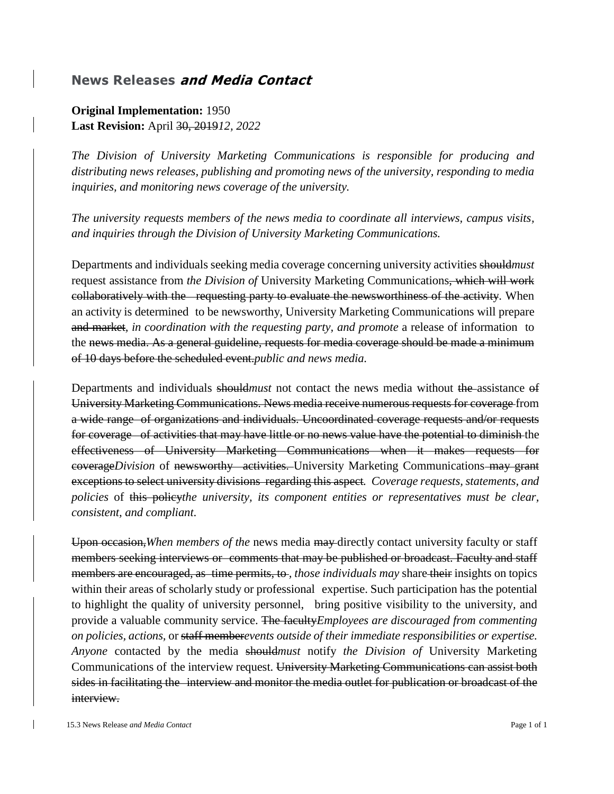### **News Releases and Media Contact**

### **Original Implementation:** 1950 **Last Revision:** April 30, 2019*12, 2022*

*The Division of University Marketing Communications is responsible for producing and distributing news releases, publishing and promoting news of the university, responding to media inquiries, and monitoring news coverage of the university.*

*The university requests members of the news media to coordinate all interviews, campus visits, and inquiries through the Division of University Marketing Communications.*

Departments and individuals seeking media coverage concerning university activities should*must* request assistance from *the Division of* University Marketing Communications, which will work collaboratively with the requesting party to evaluate the newsworthiness of the activity. When an activity is determined to be newsworthy, University Marketing Communications will prepare and market*, in coordination with the requesting party, and promote* a release of information to the news media. As a general guideline, requests for media coverage should be made a minimum of 10 days before the scheduled event.*public and news media.*

Departments and individuals should*must* not contact the news media without the assistance of University Marketing Communications. News media receive numerous requests for coverage from a wide range of organizations and individuals. Uncoordinated coverage requests and/or requests for coverage of activities that may have little or no news value have the potential to diminish the effectiveness of University Marketing Communications when it makes requests for coverage*Division* of newsworthy activities. University Marketing Communications may grant exceptions to select university divisions regarding this aspect*. Coverage requests, statements, and policies* of this policy*the university, its component entities or representatives must be clear, consistent, and compliant*.

Upon occasion,*When members of the* news media may directly contact university faculty or staff members seeking interviews or comments that may be published or broadcast. Faculty and staff members are encouraged, as time permits, to, *those individuals may* share their insights on topics within their areas of scholarly study or professional expertise. Such participation has the potential to highlight the quality of university personnel, bring positive visibility to the university*,* and provide a valuable community service. The faculty*Employees are discouraged from commenting on policies, actions,* or staff member*events outside of their immediate responsibilities or expertise. Anyone* contacted by the media should*must* notify *the Division of* University Marketing Communications of the interview request. University Marketing Communications can assist both sides in facilitating the interview and monitor the media outlet for publication or broadcast of the interview.